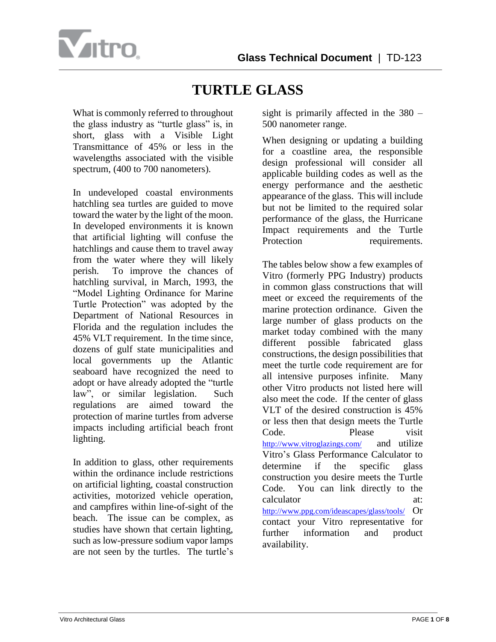



What is commonly referred to throughout the glass industry as "turtle glass" is, in short, glass with a Visible Light Transmittance of 45% or less in the wavelengths associated with the visible spectrum, (400 to 700 nanometers).

In undeveloped coastal environments hatchling sea turtles are guided to move toward the water by the light of the moon. In developed environments it is known that artificial lighting will confuse the hatchlings and cause them to travel away from the water where they will likely perish. To improve the chances of hatchling survival, in March, 1993, the "Model Lighting Ordinance for Marine Turtle Protection" was adopted by the Department of National Resources in Florida and the regulation includes the 45% VLT requirement. In the time since, dozens of gulf state municipalities and local governments up the Atlantic seaboard have recognized the need to adopt or have already adopted the "turtle law", or similar legislation. Such regulations are aimed toward the protection of marine turtles from adverse impacts including artificial beach front lighting.

In addition to glass, other requirements within the ordinance include restrictions on artificial lighting, coastal construction activities, motorized vehicle operation, and campfires within line-of-sight of the beach. The issue can be complex, as studies have shown that certain lighting, such as low-pressure sodium vapor lamps are not seen by the turtles. The turtle's

sight is primarily affected in the 380 – 500 nanometer range.

When designing or updating a building for a coastline area, the responsible design professional will consider all applicable building codes as well as the energy performance and the aesthetic appearance of the glass. This will include but not be limited to the required solar performance of the glass, the Hurricane Impact requirements and the Turtle Protection requirements.

The tables below show a few examples of Vitro (formerly PPG Industry) products in common glass constructions that will meet or exceed the requirements of the marine protection ordinance. Given the large number of glass products on the market today combined with the many different possible fabricated glass constructions, the design possibilities that meet the turtle code requirement are for all intensive purposes infinite. Many other Vitro products not listed here will also meet the code. If the center of glass VLT of the desired construction is 45% or less then that design meets the Turtle Code. Please visit <http://www.vitroglazings.com/> and utilize Vitro's Glass Performance Calculator to determine if the specific glass construction you desire meets the Turtle Code. You can link directly to the calculator at: [http://www.ppg.com/ideascapes/glass/tools/](http://www.ppg.com/corporate/ideascapes/glass/tools/Pages/default.aspx) Or contact your Vitro representative for further information and product availability.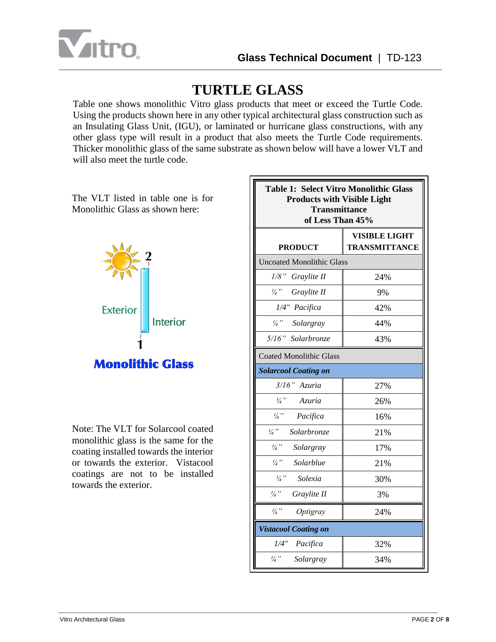

Table one shows monolithic Vitro glass products that meet or exceed the Turtle Code. Using the products shown here in any other typical architectural glass construction such as an Insulating Glass Unit, (IGU), or laminated or hurricane glass constructions, with any other glass type will result in a product that also meets the Turtle Code requirements. Thicker monolithic glass of the same substrate as shown below will have a lower VLT and will also meet the turtle code.



The VLT listed in table one is for

Note: The VLT for Solarcool coated monolithic glass is the same for the coating installed towards the interior or towards the exterior. Vistacool coatings are not to be installed towards the exterior.

| <b>Table 1: Select Vitro Monolithic Glass</b><br><b>Products with Visible Light</b><br><b>Transmittance</b><br>of Less Than 45% |                                              |  |
|---------------------------------------------------------------------------------------------------------------------------------|----------------------------------------------|--|
| <b>PRODUCT</b>                                                                                                                  | <b>VISIBLE LIGHT</b><br><b>TRANSMITTANCE</b> |  |
| <b>Uncoated Monolithic Glass</b>                                                                                                |                                              |  |
| 1/8" Graylite II                                                                                                                | 24%                                          |  |
| 1/4" Graylite II                                                                                                                | 9%                                           |  |
| 1/4" Pacifica                                                                                                                   | 42%                                          |  |
| 1/4" Solargray                                                                                                                  | 44%                                          |  |
| 5/16" Solarbronze                                                                                                               | 43%                                          |  |
| <b>Coated Monolithic Glass</b>                                                                                                  |                                              |  |
| <b>Solarcool Coating on</b>                                                                                                     |                                              |  |
| 3/16" Azuria                                                                                                                    | 27%                                          |  |
| $\frac{1}{4}$ "<br>Azuria                                                                                                       | 26%                                          |  |
| $\frac{1}{4}$ "<br>Pacifica                                                                                                     | 16%                                          |  |
| $\frac{1}{4}$ "<br>Solarbronze                                                                                                  | 21%                                          |  |
| $\frac{1}{4}$ "<br>Solargray                                                                                                    | 17%                                          |  |
| $\frac{1}{4}$ "<br>Solarblue                                                                                                    | 21%                                          |  |
| $\frac{1}{4}$ "<br>Solexia                                                                                                      | 30%                                          |  |
| $\frac{1}{4}$ "<br>Graylite II                                                                                                  | 3%                                           |  |
| $\frac{1}{4}$ "<br>Optigray                                                                                                     | 24%                                          |  |
| <b>Vistacool Coating on</b>                                                                                                     |                                              |  |
| 1/4" Pacifica                                                                                                                   | 32%                                          |  |
| $\frac{1}{4}$ "<br>Solargray                                                                                                    | 34%                                          |  |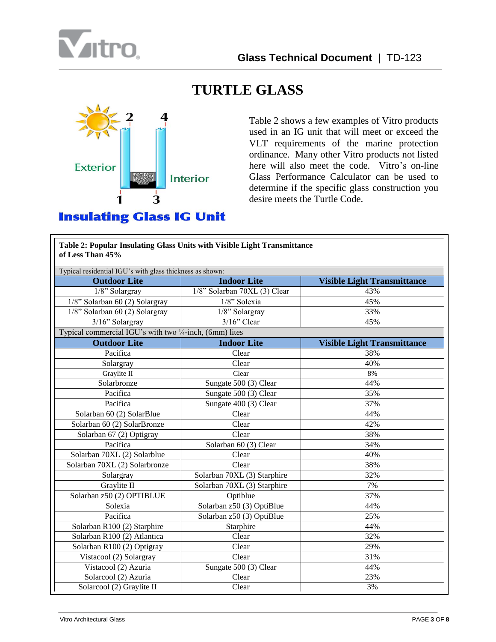



Table 2 shows a few examples of Vitro products used in an IG unit that will meet or exceed the VLT requirements of the marine protection ordinance. Many other Vitro products not listed here will also meet the code. Vitro's on-line Glass Performance Calculator can be used to determine if the specific glass construction you desire meets the Turtle Code.

| of Less Than 45%                                         | Table 2: Popular Insulating Glass Units with Visible Light Transmittance |                                    |  |
|----------------------------------------------------------|--------------------------------------------------------------------------|------------------------------------|--|
| Typical residential IGU's with glass thickness as shown: |                                                                          |                                    |  |
| <b>Outdoor Lite</b>                                      | <b>Indoor Lite</b>                                                       | <b>Visible Light Transmittance</b> |  |
| 1/8" Solargray                                           | 1/8" Solarban 70XL (3) Clear                                             | 43%                                |  |
| 1/8" Solarban 60 (2) Solargray                           | 1/8" Solexia<br>45%                                                      |                                    |  |
| $1/8$ " Solarban 60 (2) Solargray                        | 1/8" Solargray<br>33%                                                    |                                    |  |
| 3/16" Solargray                                          | $3/16$ " Clear                                                           | 45%                                |  |
| Typical commercial IGU's with two 1/4-inch, (6mm) lites  |                                                                          |                                    |  |
| <b>Outdoor Lite</b>                                      | <b>Indoor Lite</b>                                                       | <b>Visible Light Transmittance</b> |  |
| Pacifica                                                 | Clear                                                                    | 38%                                |  |
| Solargray                                                | Clear                                                                    | 40%                                |  |
| Graylite II                                              | Clear                                                                    | 8%                                 |  |
| Solarbronze                                              | Sungate 500 (3) Clear<br>44%                                             |                                    |  |
| Pacifica                                                 | 35%<br>Sungate 500 (3) Clear                                             |                                    |  |
| Pacifica                                                 | Sungate 400 (3) Clear<br>37%                                             |                                    |  |
| Solarban 60 (2) SolarBlue                                | Clear                                                                    | 44%                                |  |
| Solarban 60 (2) SolarBronze                              | Clear                                                                    | 42%                                |  |
| Solarban 67 (2) Optigray                                 | Clear<br>38%                                                             |                                    |  |
| Pacifica                                                 | Solarban 60 (3) Clear                                                    | 34%                                |  |
| Solarban 70XL (2) Solarblue                              | Clear                                                                    | 40%                                |  |
| Solarban 70XL (2) Solarbronze                            | Clear                                                                    | 38%                                |  |
| Solargray                                                | Solarban 70XL (3) Starphire                                              | 32%                                |  |
| Graylite II                                              | Solarban 70XL (3) Starphire                                              | 7%                                 |  |
| Solarban z50 (2) OPTIBLUE                                | Optiblue<br>37%                                                          |                                    |  |
| Solexia                                                  | Solarban z50 (3) OptiBlue                                                | 44%                                |  |
| Pacifica                                                 | Solarban z50 (3) OptiBlue<br>25%                                         |                                    |  |
| Solarban R100 (2) Starphire                              | Starphire<br>44%                                                         |                                    |  |
| Solarban R100 (2) Atlantica                              | Clear<br>32%                                                             |                                    |  |
| Solarban R100 (2) Optigray                               | Clear<br>29%                                                             |                                    |  |
| Vistacool (2) Solargray                                  | Clear                                                                    | 31%                                |  |
| Vistacool (2) Azuria                                     | Sungate 500 (3) Clear                                                    | 44%                                |  |
| Solarcool (2) Azuria                                     | Clear                                                                    | 23%                                |  |
| Solarcool (2) Graylite II                                | Clear                                                                    | 3%                                 |  |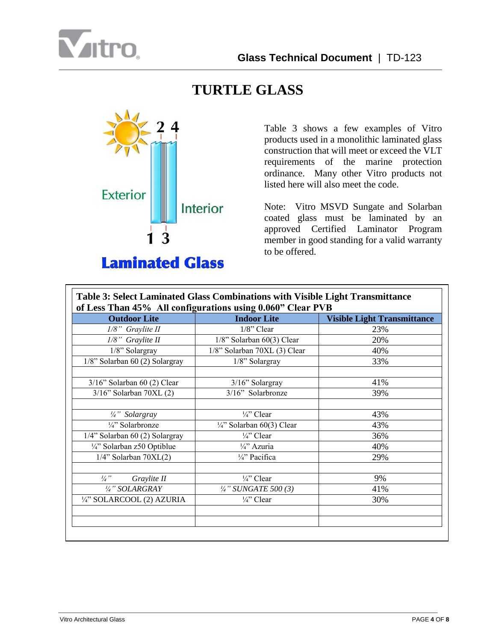



**Laminated Glass** 

Table 3 shows a few examples of Vitro products used in a monolithic laminated glass construction that will meet or exceed the VLT requirements of the marine protection ordinance. Many other Vitro products not listed here will also meet the code.

Note: Vitro MSVD Sungate and Solarban coated glass must be laminated by an approved Certified Laminator Program member in good standing for a valid warranty to be offered.

| <b>Outdoor Lite</b>            | <b>Indoor Lite</b>                   | <b>Visible Light Transmittance</b> |  |
|--------------------------------|--------------------------------------|------------------------------------|--|
| 1/8" Graylite II               | 1/8" Clear                           | 23%                                |  |
| 1/8" Graylite II               | 1/8" Solarban 60(3) Clear<br>20%     |                                    |  |
| 1/8" Solargray                 | 1/8" Solarban 70XL (3) Clear         | 40%                                |  |
| 1/8" Solarban 60 (2) Solargray | 1/8" Solargray                       | 33%                                |  |
| 3/16" Solarban 60 (2) Clear    | 3/16" Solargray                      | 41%                                |  |
| $3/16$ " Solarban 70XL $(2)$   | 3/16" Solarbronze                    | 39%                                |  |
| 1/4" Solargray                 | $\frac{1}{4}$ Clear                  | 43%                                |  |
| 1/4" Solarbronze               | $\frac{1}{4}$ " Solarban 60(3) Clear | 43%                                |  |
| 1/4" Solarban 60 (2) Solargray | $\frac{1}{4}$ " Clear                | 36%                                |  |
| 1/4" Solarban z50 Optiblue     | 1/4" Azuria                          | 40%                                |  |
| $1/4$ " Solarban 70XL $(2)$    | 1/4" Pacifica                        | 29%                                |  |
| $\frac{1}{4}$ "<br>Graylite II | 1/4" Clear                           | 9%                                 |  |
| 1/4" SOLARGRAY                 | $\frac{1}{4}$ " SUNGATE 500 (3)      | 41%                                |  |
| 1/4" SOLARCOOL (2) AZURIA      | $\frac{1}{4}$ " Clear                | 30%                                |  |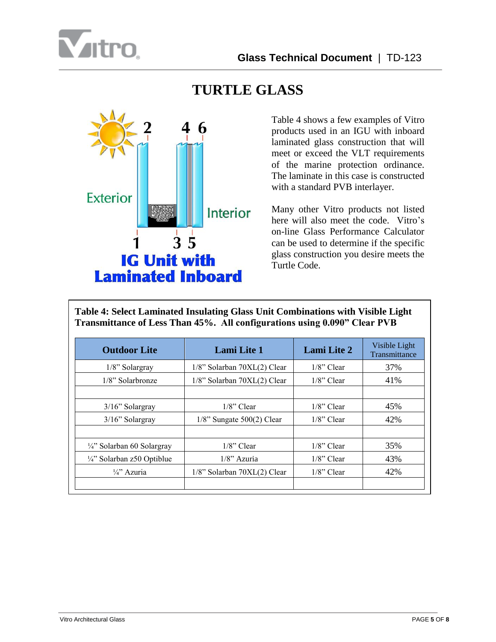



Table 4 shows a few examples of Vitro products used in an IGU with inboard laminated glass construction that will meet or exceed the VLT requirements of the marine protection ordinance. The laminate in this case is constructed with a standard PVB interlayer.

Many other Vitro products not listed here will also meet the code. Vitro's on-line Glass Performance Calculator can be used to determine if the specific glass construction you desire meets the Turtle Code.

**Table 4: Select Laminated Insulating Glass Unit Combinations with Visible Light Transmittance of Less Than 45%. All configurations using 0.090" Clear PVB**

| <b>Outdoor Lite</b>                   | <b>Lami</b> Lite 1                | <b>Lami Lite 2</b> |     |
|---------------------------------------|-----------------------------------|--------------------|-----|
| $1/8$ " Solargray                     | 1/8" Solarban 70XL(2) Clear       | $1/8$ " Clear      | 37% |
| $1/8$ " Solarbronze                   | 1/8" Solarban 70XL(2) Clear       | $1/8$ " Clear      | 41% |
|                                       |                                   |                    |     |
| 3/16" Solargray                       | $1/8$ " Clear                     | $1/8$ " Clear      | 45% |
| 3/16" Solargray                       | $1/8$ " Sungate 500(2) Clear      | $1/8$ " Clear      | 42% |
|                                       |                                   |                    |     |
| $\frac{1}{4}$ " Solarban 60 Solargray | $1/8$ " Clear                     | $1/8$ " Clear      | 35% |
| $\frac{1}{4}$ " Solarban z50 Optiblue | $1/8$ " Azuria                    | $1/8$ " Clear      | 43% |
| $\frac{1}{4}$ Azuria                  | $1/8$ " Solarban 70XL $(2)$ Clear | $1/8$ " Clear      | 42% |
|                                       |                                   |                    |     |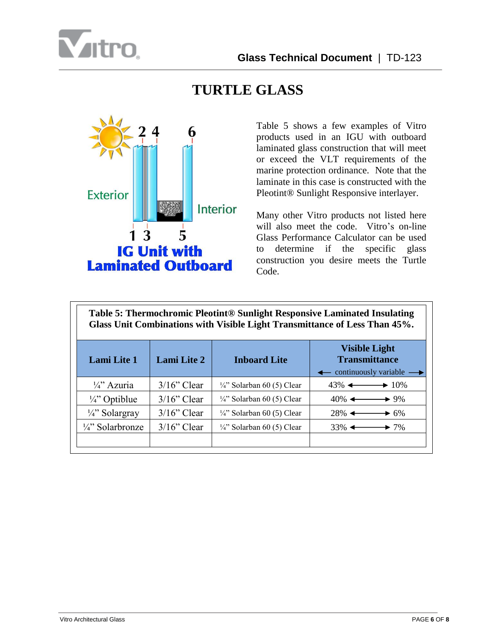



Table 5 shows a few examples of Vitro products used in an IGU with outboard laminated glass construction that will meet or exceed the VLT requirements of the marine protection ordinance. Note that the laminate in this case is constructed with the Pleotint® Sunlight Responsive interlayer.

Many other Vitro products not listed here will also meet the code. Vitro's on-line Glass Performance Calculator can be used to determine if the specific glass construction you desire meets the Turtle Code.

**Table 5: Thermochromic Pleotint® Sunlight Responsive Laminated Insulating Glass Unit Combinations with Visible Light Transmittance of Less Than 45%.**

| <b>Lami Lite 1</b>                     | <b>Lami Lite 2</b> | <b>Inboard Lite</b>                   | <b>Visible Light</b><br><b>Transmittance</b><br>$\leftarrow$ continuously variable $\rightarrow$ |
|----------------------------------------|--------------------|---------------------------------------|--------------------------------------------------------------------------------------------------|
| $\frac{1}{4}$ <sup>2</sup> Azuria      | $3/16$ " Clear     | $\frac{1}{4}$ " Solarban 60 (5) Clear | $43\%$ $\longleftrightarrow$ 10\%                                                                |
| $\frac{1}{4}$ Optiblue                 | $3/16$ " Clear     | $\frac{1}{4}$ " Solarban 60 (5) Clear | $40\%$ $\leftarrow$<br>$\rightarrow 9\%$                                                         |
| $\frac{1}{4}$ Solargray                | $3/16$ " Clear     | $\frac{1}{4}$ " Solarban 60 (5) Clear | $28\%$ $\leftarrow$<br>$\blacktriangleright$ 6%                                                  |
| $\frac{1}{4}$ <sup>2</sup> Solarbronze | $3/16$ " Clear     | $\frac{1}{4}$ " Solarban 60 (5) Clear | $33\%$ $\leftarrow$<br>$\rightarrow$ 7%                                                          |
|                                        |                    |                                       |                                                                                                  |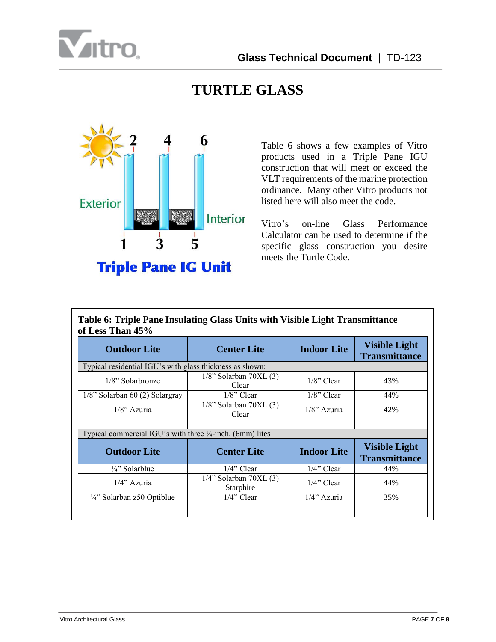



Table 6 shows a few examples of Vitro products used in a Triple Pane IGU construction that will meet or exceed the VLT requirements of the marine protection ordinance. Many other Vitro products not listed here will also meet the code.

Vitro's on-line Glass Performance Calculator can be used to determine if the specific glass construction you desire meets the Turtle Code.

| Table 6: Triple Pane Insulating Glass Units with Visible Light Transmittance<br>of Less Than 45% |                                          |                    |                                              |  |
|--------------------------------------------------------------------------------------------------|------------------------------------------|--------------------|----------------------------------------------|--|
| <b>Outdoor Lite</b>                                                                              | <b>Center Lite</b>                       | <b>Indoor Lite</b> | <b>Visible Light</b><br><b>Transmittance</b> |  |
| Typical residential IGU's with glass thickness as shown:                                         |                                          |                    |                                              |  |
| $1/8$ " Solarbronze                                                                              | $1/8$ " Solarban 70XL $(3)$<br>Clear     | $1/8$ " Clear      | 43%                                          |  |
| $1/8$ " Solarban 60 (2) Solargray                                                                | $1/8$ " Clear                            | $1/8$ " Clear      | 44%                                          |  |
| $1/8$ " Azuria                                                                                   | $1/8$ " Solarban 70XL $(3)$<br>Clear     | $1/8$ " Azuria     | 42%                                          |  |
| Typical commercial IGU's with three $\frac{1}{4}$ -inch, (6mm) lites                             |                                          |                    |                                              |  |
| <b>Outdoor Lite</b>                                                                              | <b>Center Lite</b>                       | <b>Indoor Lite</b> | <b>Visible Light</b><br><b>Transmittance</b> |  |
| $\frac{1}{4}$ " Solarblue                                                                        | $1/4$ " Clear                            | $1/4$ " Clear      | 44%                                          |  |
| $1/4$ " Azuria                                                                                   | $1/4$ " Solarban 70XL $(3)$<br>Starphire | $1/4$ " Clear      | 44%                                          |  |
| $\frac{1}{4}$ " Solarban z50 Optiblue                                                            | $1/4$ " Clear                            | $1/4$ " Azuria     | 35%                                          |  |
|                                                                                                  |                                          |                    |                                              |  |